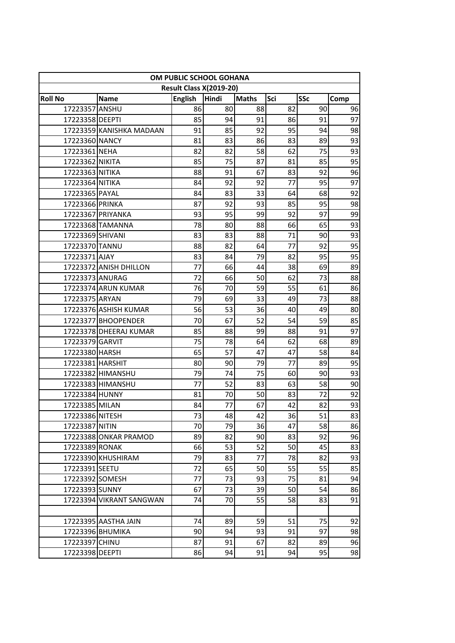| OM PUBLIC SCHOOL GOHANA            |                          |                      |                         |              |          |            |          |
|------------------------------------|--------------------------|----------------------|-------------------------|--------------|----------|------------|----------|
|                                    |                          |                      | Result Class X(2019-20) |              |          |            |          |
| <b>Roll No</b>                     | <b>Name</b>              | <b>English</b><br>86 | Hindi                   | <b>Maths</b> | Sci      | <b>SSc</b> | Comp     |
| 17223357 ANSHU<br>17223358 DEEPTI  |                          | 85                   | 80<br>94                | 88<br>91     | 82<br>86 | 90<br>91   | 96<br>97 |
|                                    | 17223359 KANISHKA MADAAN | 91                   | 85                      | 92           | 95       | 94         | 98       |
| 17223360 NANCY                     |                          | 81                   | 83                      | 86           | 83       | 89         | 93       |
| 17223361 NEHA                      |                          | 82                   | 82                      | 58           | 62       | 75         | 93       |
|                                    |                          | 85                   | 75                      | 87           | 81       | 85         | 95       |
| 17223362 NIKITA<br>17223363 NITIKA |                          | 88                   | 91                      | 67           | 83       | 92         | 96       |
| 17223364 NITIKA                    |                          | 84                   | 92                      | 92           | 77       | 95         | 97       |
| 17223365 PAYAL                     |                          | 84                   | 83                      | 33           | 64       | 68         | 92       |
| 17223366 PRINKA                    |                          | 87                   | 92                      | 93           | 85       | 95         | 98       |
|                                    | 17223367 PRIYANKA        | 93                   | 95                      | 99           | 92       | 97         | 99       |
|                                    | 17223368 TAMANNA         | 78                   |                         | 88           | 66       | 65         | 93       |
| 17223369 SHIVANI                   |                          | 83                   | 80<br>83                | 88           | 71       | 90         | 93       |
| 17223370 TANNU                     |                          | 88                   | 82                      | 64           | 77       | 92         | 95       |
| 17223371 AJAY                      |                          | 83                   | 84                      | 79           | 82       | 95         | 95       |
|                                    | 17223372 ANISH DHILLON   | 77                   | 66                      | 44           | 38       | 69         | 89       |
| 17223373 ANURAG                    |                          | 72                   | 66                      | 50           | 62       | 73         | 88       |
|                                    | 17223374 ARUN KUMAR      | 76                   | 70                      | 59           | 55       | 61         | 86       |
| 17223375 ARYAN                     |                          | 79                   | 69                      | 33           | 49       | 73         | 88       |
|                                    | 17223376 ASHISH KUMAR    | 56                   | 53                      | 36           | 40       | 49         | 80       |
|                                    |                          |                      |                         |              |          |            |          |
|                                    | 17223377 BHOOPENDER      | 70                   | 67                      | 52           | 54       | 59         | 85       |
|                                    | 17223378 DHEERAJ KUMAR   | 85                   | 88                      | 99           | 88       | 91         | 97       |
| 17223379 GARVIT                    |                          | 75                   | 78                      | 64           | 62       | 68         | 89       |
| 17223380 HARSH                     |                          | 65                   | 57                      | 47           | 47       | 58         | 84       |
| 17223381 HARSHIT                   |                          | 80                   | 90<br>74                | 79           | 77<br>60 | 89         | 95       |
|                                    | 17223382 HIMANSHU        | 79<br>77             |                         | 75           | 63       | 90         | 93       |
|                                    | 17223383 HIMANSHU        | 81                   | 52                      | 83           |          | 58         | 90       |
| 17223384 HUNNY<br>17223385 MILAN   |                          |                      | 70<br>77                | 50<br>67     | 83       | 72         | 92       |
|                                    |                          | 84                   |                         | 42           | 42       | 82<br>51   | 93       |
| 17223386 NITESH<br>17223387 NITIN  |                          | 73<br>70             | 48<br>79                | 36           | 36<br>47 | 58         | 83<br>86 |
|                                    | 17223388 ONKAR PRAMOD    | 89                   | 82                      | 90           | 83       | 92         | 96       |
| 17223389 RONAK                     |                          | 66                   | 53                      | 52           | 50       | 45         | 83       |
|                                    | 17223390 KHUSHIRAM       | 79                   | 83                      | 77           | 78       | 82         | 93       |
| 17223391 SEETU                     |                          | 72                   | 65                      | 50           | 55       | 55         | 85       |
| 17223392 SOMESH                    |                          | 77                   | 73                      | 93           | 75       | 81         | 94       |
| 17223393 SUNNY                     |                          | 67                   | 73                      | 39           | 50       | 54         | 86       |
|                                    | 17223394 VIKRANT SANGWAN | 74                   | 70                      | 55           | 58       | 83         | 91       |
|                                    |                          |                      |                         |              |          |            |          |
|                                    | 17223395 AASTHA JAIN     | 74                   | 89                      | 59           | 51       | 75         | 92       |
|                                    | 17223396 BHUMIKA         | 90                   | 94                      | 93           | 91       | 97         | 98       |
| 17223397 CHINU                     |                          | 87                   | 91                      | 67           | 82       | 89         | 96       |
| 17223398 DEEPTI                    |                          |                      |                         |              |          | 95         |          |
|                                    |                          | 86                   | 94                      | 91           | 94       |            | 98       |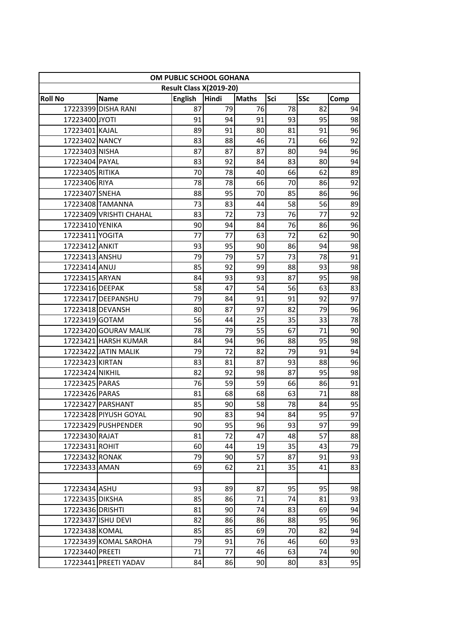| OM PUBLIC SCHOOL GOHANA<br>Result Class X(2019-20) |                         |                |          |              |          |            |          |
|----------------------------------------------------|-------------------------|----------------|----------|--------------|----------|------------|----------|
| <b>Roll No</b>                                     | <b>Name</b>             | <b>English</b> | Hindi    | <b>Maths</b> | Sci      | <b>SSc</b> | Comp     |
|                                                    | 17223399 DISHA RANI     | 87             | 79       | 76           | 78       | 82         | 94       |
| 17223400 JYOTI                                     |                         | 91             | 94       | 91           | 93       | 95         | 98       |
| 17223401 KAJAL                                     |                         | 89             | 91       | 80           | 81       | 91         | 96       |
| 17223402 NANCY                                     |                         | 83             | 88       | 46           | 71       | 66         | 92       |
| 17223403 NISHA                                     |                         | 87             | 87       | 87           | 80       | 94         | 96       |
| 17223404 PAYAL                                     |                         | 83             | 92       | 84           | 83       | 80         | 94       |
| 17223405 RITIKA                                    |                         | 70             | 78       | 40           | 66       | 62         | 89       |
| 17223406 RIYA                                      |                         | 78             | 78       | 66           | 70       | 86         | 92       |
| 17223407 SNEHA                                     |                         | 88             | 95       | 70           | 85       | 86         | 96       |
|                                                    | 17223408 TAMANNA        | 73             | 83       | 44           | 58       | 56         | 89       |
|                                                    | 17223409 VRISHTI CHAHAL | 83             | 72       | 73           | 76       | 77         | 92       |
| 17223410 YENIKA                                    |                         | 90             | 94       | 84           | 76       | 86         | 96       |
| 17223411 YOGITA                                    |                         | 77             | 77       | 63           | 72       | 62         | 90       |
| 17223412 ANKIT                                     |                         | 93             | 95       | 90           | 86       | 94         | 98       |
| 17223413 ANSHU                                     |                         | 79             | 79       | 57           | 73       | 78         | 91       |
| 17223414 ANUJ                                      |                         | 85             | 92       | 99           | 88       | 93         | 98       |
| 17223415 ARYAN                                     |                         | 84             | 93       | 93           | 87       | 95         | 98       |
| 17223416 DEEPAK                                    |                         | 58             | 47       | 54           | 56       | 63         | 83       |
|                                                    | 17223417 DEEPANSHU      | 79             | 84       | 91           | 91       | 92         | 97       |
|                                                    | 17223418 DEVANSH        | 80             | 87       | 97           | 82       | 79         | 96       |
| 17223419 GOTAM                                     |                         | 56             | 44       | 25           | 35       | 33         | 78       |
|                                                    | 17223420 GOURAV MALIK   | 78             | 79       | 55           | 67       | 71         | 90       |
|                                                    | 17223421 HARSH KUMAR    | 84             | 94       | 96           | 88       | 95         | 98       |
|                                                    | 17223422 JATIN MALIK    | 79             | 72       | 82           | 79       | 91         | 94       |
| 17223423 KIRTAN                                    |                         | 83<br>82       | 81       | 87<br>98     | 93<br>87 | 88<br>95   | 96       |
| 17223424 NIKHIL<br>17223425 PARAS                  |                         | 76             | 92<br>59 | 59           | 66       | 86         | 98<br>91 |
| 17223426 PARAS                                     |                         | 81             | 68       | 68           | 63       | 71         | 88       |
|                                                    | 17223427 PARSHANT       | 85             | 90       | 58           | 78       | 84         | 95       |
|                                                    | 17223428 PIYUSH GOYAL   | 90             | 83       | 941          | 84       | 95         | 97       |
|                                                    | 17223429 PUSHPENDER     | 90             | 95       | 96           | 93       | 97         | 99       |
| 17223430 RAJAT                                     |                         | 81             | 72       | 47           | 48       | 57         | 88       |
| 17223431 ROHIT                                     |                         | 60             | 44       | 19           | 35       | 43         | 79       |
| 17223432 RONAK                                     |                         | 79             | 90       | 57           | 87       | 91         | 93       |
| 17223433 AMAN                                      |                         | 69             | 62       | 21           | 35       | 41         | 83       |
|                                                    |                         |                |          |              |          |            |          |
| 17223434 ASHU                                      |                         | 93             | 89       | 87           | 95       | 95         | 98       |
| 17223435 DIKSHA                                    |                         | 85             | 86       | 71           | 74       | 81         | 93       |
| 17223436 DRISHTI                                   |                         | 81             | 90       | 74           | 83       | 69         | 94       |
|                                                    | 17223437 ISHU DEVI      | 82             | 86       | 86           | 88       | 95         | 96       |
| 17223438 KOMAL                                     |                         | 85             | 85       | 69           | 70       | 82         | 94       |
|                                                    | 17223439 KOMAL SAROHA   | 79             | 91       | 76           | 46       | 60         | 93       |
| 17223440 PREETI                                    |                         | 71             | 77       | 46           | 63       | 74         | 90       |
|                                                    | 17223441 PREETI YADAV   | 84             | 86       | 90           | 80       | 83         | 95       |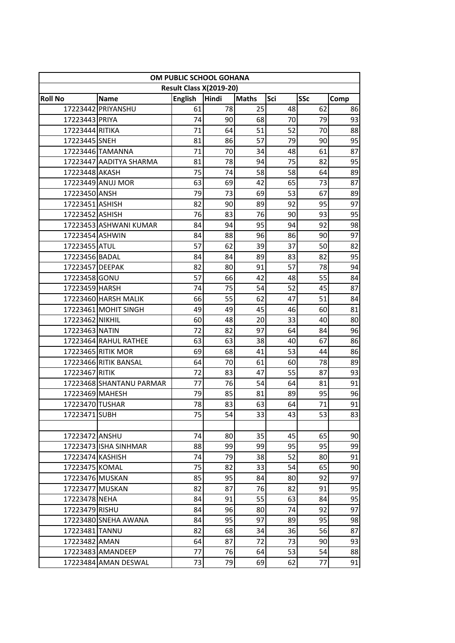| OM PUBLIC SCHOOL GOHANA |                                   |                |                                  |              |     |            |            |
|-------------------------|-----------------------------------|----------------|----------------------------------|--------------|-----|------------|------------|
| <b>Roll No</b>          |                                   | <b>English</b> | Result Class X(2019-20)<br>Hindi | <b>Maths</b> | Sci | <b>SSc</b> |            |
|                         | <b>Name</b><br>17223442 PRIYANSHU | 61             | 78                               | 25           | 48  | 62         | Comp<br>86 |
| 17223443 PRIYA          |                                   | 74             | 90                               | 68           | 70  | 79         | 93         |
| 17223444 RITIKA         |                                   | 71             | 64                               | 51           | 52  | 70         | 88         |
| 17223445 SNEH           |                                   | 81             | 86                               | 57           | 79  | 90         | 95         |
|                         | 17223446 TAMANNA                  | 71             | 70                               | 34           | 48  | 61         | 87         |
|                         | 17223447 AADITYA SHARMA           | 81             | 78                               | 94           | 75  | 82         | 95         |
| 17223448 AKASH          |                                   | 75             | 74                               | 58           | 58  | 64         | 89         |
|                         | 17223449 ANUJ MOR                 | 63             | 69                               | 42           | 65  | 73         | 87         |
| 17223450 ANSH           |                                   | 79             | 73                               | 69           | 53  | 67         | 89         |
| 17223451 ASHISH         |                                   | 82             | 90                               | 89           | 92  | 95         | 97         |
| 17223452 ASHISH         |                                   | 76             | 83                               | 76           | 90  | 93         | 95         |
|                         | 17223453 ASHWANI KUMAR            | 84             | 94                               | 95           | 94  | 92         | 98         |
| 17223454 ASHWIN         |                                   | 84             | 88                               | 96           | 86  | 90         | 97         |
| 17223455 ATUL           |                                   | 57             | 62                               | 39           | 37  | 50         | 82         |
| 17223456 BADAL          |                                   | 84             | 84                               | 89           | 83  | 82         | 95         |
| 17223457 DEEPAK         |                                   | 82             | 80                               | 91           | 57  | 78         | 94         |
| 17223458 GONU           |                                   | 57             | 66                               | 42           | 48  | 55         | 84         |
| 17223459 HARSH          |                                   | 74             | 75                               | 54           | 52  | 45         | 87         |
|                         | 17223460 HARSH MALIK              | 66             | 55                               | 62           | 47  | 51         | 84         |
|                         | 17223461 MOHIT SINGH              | 49             | 49                               | 45           | 46  | 60         | 81         |
| 17223462 NIKHIL         |                                   | 60             | 48                               | 20           | 33  | 40         | 80         |
| 17223463 NATIN          |                                   | 72             | 82                               | 97           | 64  | 84         | 96         |
|                         | 17223464 RAHUL RATHEE             | 63             | 63                               | 38           | 40  | 67         | 86         |
|                         | 17223465 RITIK MOR                | 69             | 68                               | 41           | 53  | 44         | 86         |
|                         | 17223466 RITIK BANSAL             | 64             | 70                               | 61           | 60  | 78         | 89         |
| 17223467 RITIK          |                                   | 72             | 83                               | 47           | 55  | 87         | 93         |
|                         | 17223468 SHANTANU PARMAR          | 77             | 76                               | 54           | 64  | 81         | 91         |
| 17223469 MAHESH         |                                   | 79             | 85                               | 81           | 89  | 95         | 96         |
| 17223470 TUSHAR         |                                   | 78             | 83                               | 63           | 64  | 71         | 91         |
| 17223471 SUBH           |                                   | 75             | 54                               | 331          | 43  | 53         | 83         |
|                         |                                   |                |                                  |              |     |            |            |
| 17223472 ANSHU          |                                   | 74             | 80                               | 35           | 45  | 65         | 90         |
|                         | 17223473 ISHA SINHMAR             | 88             | 99                               | 99           | 95  | 95         | 99         |
| 17223474 KASHISH        |                                   | 74             | 79                               | 38           | 52  | 80         | 91         |
| 17223475 KOMAL          |                                   | 75             | 82                               | 33           | 54  | 65         | 90         |
| 17223476 MUSKAN         |                                   | 85             | 95                               | 84           | 80  | 92         | 97         |
| 17223477 MUSKAN         |                                   | 82             | 87                               | 76           | 82  | 91         | 95         |
| 17223478 NEHA           |                                   | 84             | 91                               | 55           | 63  | 84         | 95         |
| 17223479 RISHU          |                                   | 84             | 96                               | 80           | 74  | 92         | 97         |
|                         | 17223480 SNEHA AWANA              | 84             | 95                               | 97           | 89  | 95         | 98         |
| 17223481 TANNU          |                                   | 82             | 68                               | 34           | 36  | 56         | 87         |
| 17223482 AMAN           |                                   | 64             | 87                               | 72           | 73  | 90         | 93         |
|                         | 17223483 AMANDEEP                 | 77             | 76                               | 64           | 53  | 54         | 88         |
|                         | 17223484 AMAN DESWAL              | 73             | 79                               | 69           | 62  | 77         | 91         |